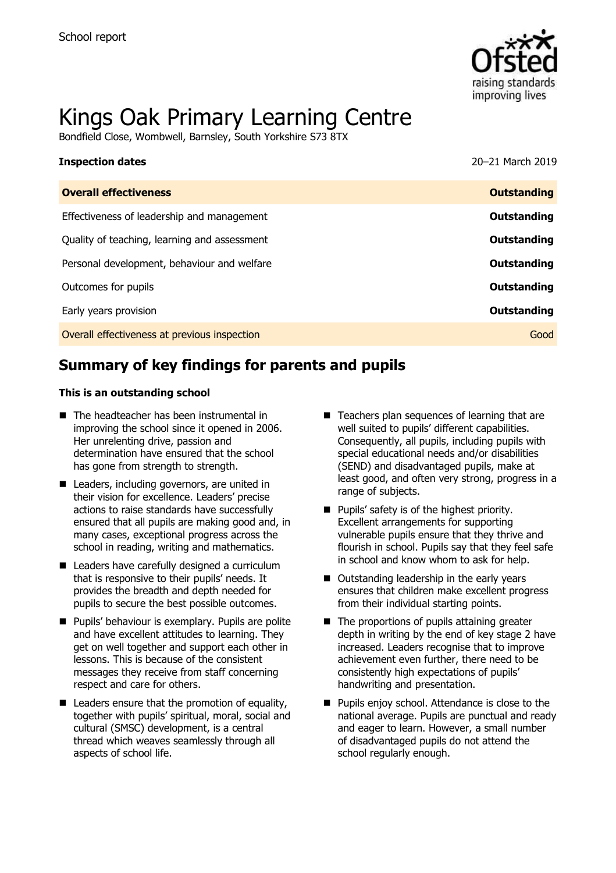

# Kings Oak Primary Learning Centre

Bondfield Close, Wombwell, Barnsley, South Yorkshire S73 8TX

| <b>Inspection dates</b>                      | 20-21 March 2019   |
|----------------------------------------------|--------------------|
| <b>Overall effectiveness</b>                 | <b>Outstanding</b> |
| Effectiveness of leadership and management   | Outstanding        |
| Quality of teaching, learning and assessment | Outstanding        |
| Personal development, behaviour and welfare  | Outstanding        |
| Outcomes for pupils                          | Outstanding        |
| Early years provision                        | Outstanding        |
| Overall effectiveness at previous inspection | Good               |

# **Summary of key findings for parents and pupils**

#### **This is an outstanding school**

- The headteacher has been instrumental in improving the school since it opened in 2006. Her unrelenting drive, passion and determination have ensured that the school has gone from strength to strength.
- Leaders, including governors, are united in their vision for excellence. Leaders' precise actions to raise standards have successfully ensured that all pupils are making good and, in many cases, exceptional progress across the school in reading, writing and mathematics.
- Leaders have carefully designed a curriculum that is responsive to their pupils' needs. It provides the breadth and depth needed for pupils to secure the best possible outcomes.
- **Pupils' behaviour is exemplary. Pupils are polite** and have excellent attitudes to learning. They get on well together and support each other in lessons. This is because of the consistent messages they receive from staff concerning respect and care for others.
- $\blacksquare$  Leaders ensure that the promotion of equality, together with pupils' spiritual, moral, social and cultural (SMSC) development, is a central thread which weaves seamlessly through all aspects of school life.
- Teachers plan sequences of learning that are well suited to pupils' different capabilities. Consequently, all pupils, including pupils with special educational needs and/or disabilities (SEND) and disadvantaged pupils, make at least good, and often very strong, progress in a range of subjects.
- **Pupils' safety is of the highest priority.** Excellent arrangements for supporting vulnerable pupils ensure that they thrive and flourish in school. Pupils say that they feel safe in school and know whom to ask for help.
- Outstanding leadership in the early years ensures that children make excellent progress from their individual starting points.
- $\blacksquare$  The proportions of pupils attaining greater depth in writing by the end of key stage 2 have increased. Leaders recognise that to improve achievement even further, there need to be consistently high expectations of pupils' handwriting and presentation.
- **Pupils enjoy school. Attendance is close to the** national average. Pupils are punctual and ready and eager to learn. However, a small number of disadvantaged pupils do not attend the school regularly enough.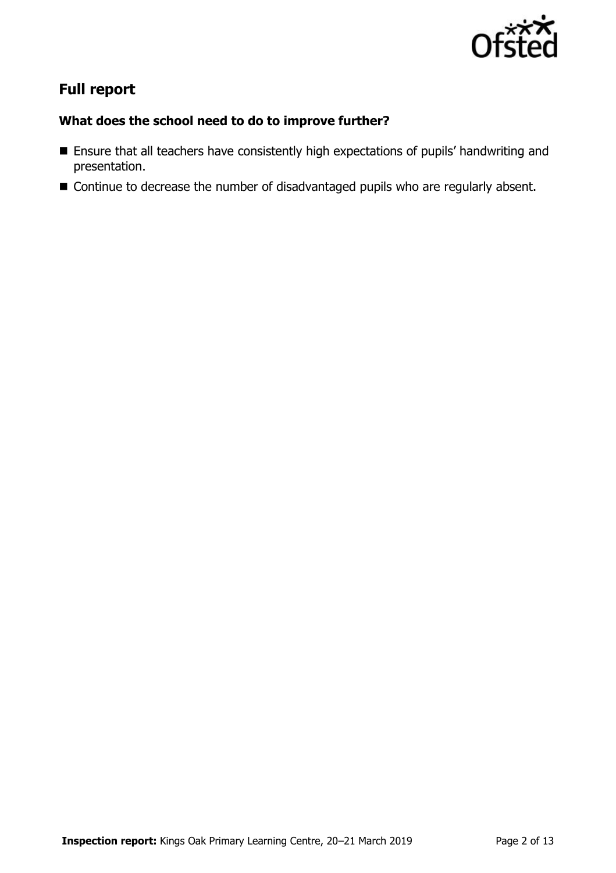

# **Full report**

### **What does the school need to do to improve further?**

- Ensure that all teachers have consistently high expectations of pupils' handwriting and presentation.
- Continue to decrease the number of disadvantaged pupils who are regularly absent.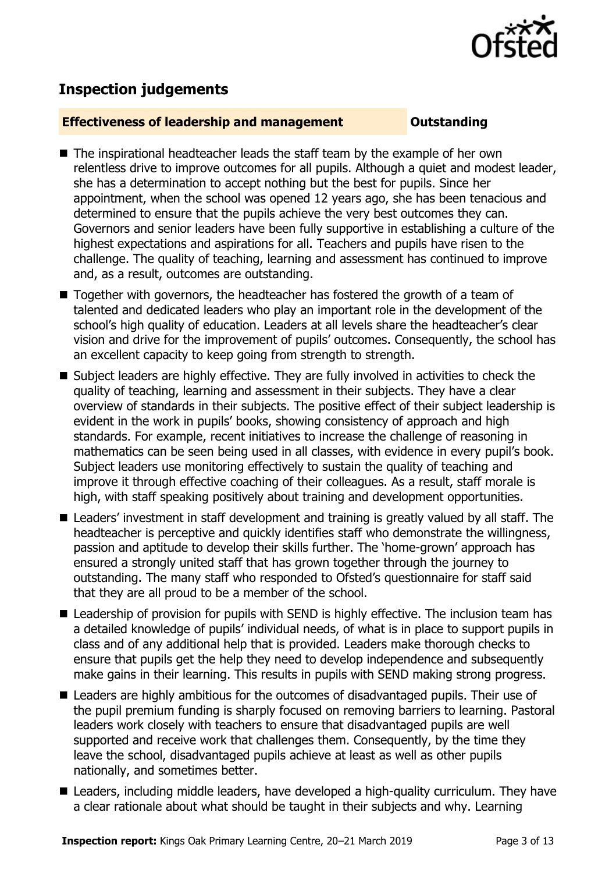

## **Inspection judgements**

#### **Effectiveness of leadership and management Constanding**

- The inspirational headteacher leads the staff team by the example of her own relentless drive to improve outcomes for all pupils. Although a quiet and modest leader, she has a determination to accept nothing but the best for pupils. Since her appointment, when the school was opened 12 years ago, she has been tenacious and determined to ensure that the pupils achieve the very best outcomes they can. Governors and senior leaders have been fully supportive in establishing a culture of the highest expectations and aspirations for all. Teachers and pupils have risen to the challenge. The quality of teaching, learning and assessment has continued to improve and, as a result, outcomes are outstanding.
- Together with governors, the headteacher has fostered the growth of a team of talented and dedicated leaders who play an important role in the development of the school's high quality of education. Leaders at all levels share the headteacher's clear vision and drive for the improvement of pupils' outcomes. Consequently, the school has an excellent capacity to keep going from strength to strength.
- Subject leaders are highly effective. They are fully involved in activities to check the quality of teaching, learning and assessment in their subjects. They have a clear overview of standards in their subjects. The positive effect of their subject leadership is evident in the work in pupils' books, showing consistency of approach and high standards. For example, recent initiatives to increase the challenge of reasoning in mathematics can be seen being used in all classes, with evidence in every pupil's book. Subject leaders use monitoring effectively to sustain the quality of teaching and improve it through effective coaching of their colleagues. As a result, staff morale is high, with staff speaking positively about training and development opportunities.
- Leaders' investment in staff development and training is greatly valued by all staff. The headteacher is perceptive and quickly identifies staff who demonstrate the willingness, passion and aptitude to develop their skills further. The 'home-grown' approach has ensured a strongly united staff that has grown together through the journey to outstanding. The many staff who responded to Ofsted's questionnaire for staff said that they are all proud to be a member of the school.
- Leadership of provision for pupils with SEND is highly effective. The inclusion team has a detailed knowledge of pupils' individual needs, of what is in place to support pupils in class and of any additional help that is provided. Leaders make thorough checks to ensure that pupils get the help they need to develop independence and subsequently make gains in their learning. This results in pupils with SEND making strong progress.
- Leaders are highly ambitious for the outcomes of disadvantaged pupils. Their use of the pupil premium funding is sharply focused on removing barriers to learning. Pastoral leaders work closely with teachers to ensure that disadvantaged pupils are well supported and receive work that challenges them. Consequently, by the time they leave the school, disadvantaged pupils achieve at least as well as other pupils nationally, and sometimes better.
- Leaders, including middle leaders, have developed a high-quality curriculum. They have a clear rationale about what should be taught in their subjects and why. Learning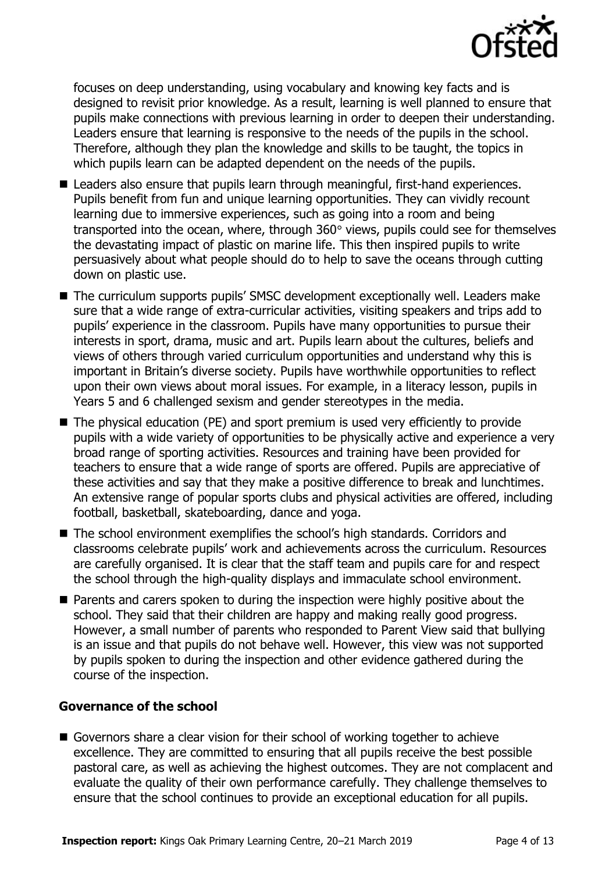

focuses on deep understanding, using vocabulary and knowing key facts and is designed to revisit prior knowledge. As a result, learning is well planned to ensure that pupils make connections with previous learning in order to deepen their understanding. Leaders ensure that learning is responsive to the needs of the pupils in the school. Therefore, although they plan the knowledge and skills to be taught, the topics in which pupils learn can be adapted dependent on the needs of the pupils.

- Leaders also ensure that pupils learn through meaningful, first-hand experiences. Pupils benefit from fun and unique learning opportunities. They can vividly recount learning due to immersive experiences, such as going into a room and being transported into the ocean, where, through  $360^\circ$  views, pupils could see for themselves the devastating impact of plastic on marine life. This then inspired pupils to write persuasively about what people should do to help to save the oceans through cutting down on plastic use.
- The curriculum supports pupils' SMSC development exceptionally well. Leaders make sure that a wide range of extra-curricular activities, visiting speakers and trips add to pupils' experience in the classroom. Pupils have many opportunities to pursue their interests in sport, drama, music and art. Pupils learn about the cultures, beliefs and views of others through varied curriculum opportunities and understand why this is important in Britain's diverse society. Pupils have worthwhile opportunities to reflect upon their own views about moral issues. For example, in a literacy lesson, pupils in Years 5 and 6 challenged sexism and gender stereotypes in the media.
- The physical education (PE) and sport premium is used very efficiently to provide pupils with a wide variety of opportunities to be physically active and experience a very broad range of sporting activities. Resources and training have been provided for teachers to ensure that a wide range of sports are offered. Pupils are appreciative of these activities and say that they make a positive difference to break and lunchtimes. An extensive range of popular sports clubs and physical activities are offered, including football, basketball, skateboarding, dance and yoga.
- The school environment exemplifies the school's high standards. Corridors and classrooms celebrate pupils' work and achievements across the curriculum. Resources are carefully organised. It is clear that the staff team and pupils care for and respect the school through the high-quality displays and immaculate school environment.
- **Parents and carers spoken to during the inspection were highly positive about the** school. They said that their children are happy and making really good progress. However, a small number of parents who responded to Parent View said that bullying is an issue and that pupils do not behave well. However, this view was not supported by pupils spoken to during the inspection and other evidence gathered during the course of the inspection.

### **Governance of the school**

Governors share a clear vision for their school of working together to achieve excellence. They are committed to ensuring that all pupils receive the best possible pastoral care, as well as achieving the highest outcomes. They are not complacent and evaluate the quality of their own performance carefully. They challenge themselves to ensure that the school continues to provide an exceptional education for all pupils.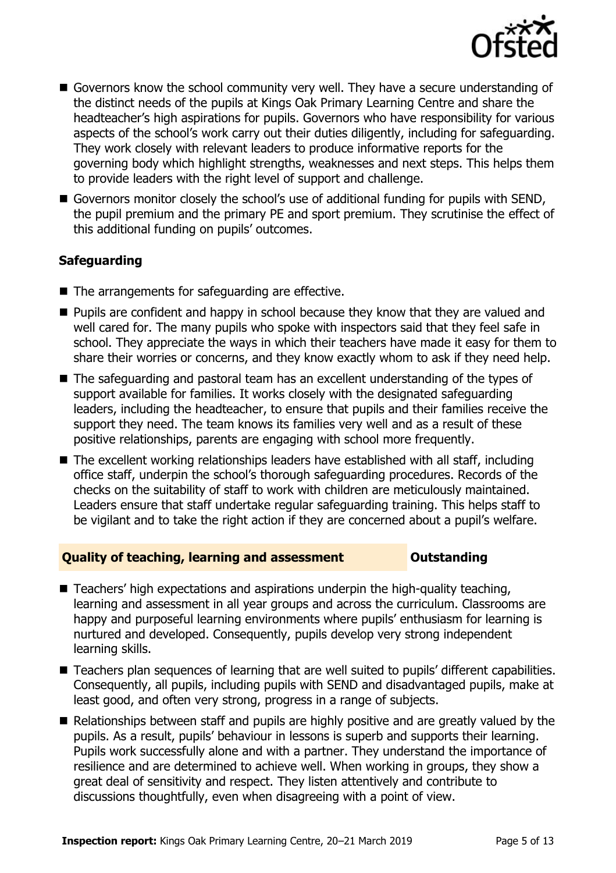

- Governors know the school community very well. They have a secure understanding of the distinct needs of the pupils at Kings Oak Primary Learning Centre and share the headteacher's high aspirations for pupils. Governors who have responsibility for various aspects of the school's work carry out their duties diligently, including for safeguarding. They work closely with relevant leaders to produce informative reports for the governing body which highlight strengths, weaknesses and next steps. This helps them to provide leaders with the right level of support and challenge.
- Governors monitor closely the school's use of additional funding for pupils with SEND, the pupil premium and the primary PE and sport premium. They scrutinise the effect of this additional funding on pupils' outcomes.

### **Safeguarding**

- $\blacksquare$  The arrangements for safeguarding are effective.
- **Pupils are confident and happy in school because they know that they are valued and** well cared for. The many pupils who spoke with inspectors said that they feel safe in school. They appreciate the ways in which their teachers have made it easy for them to share their worries or concerns, and they know exactly whom to ask if they need help.
- The safeguarding and pastoral team has an excellent understanding of the types of support available for families. It works closely with the designated safeguarding leaders, including the headteacher, to ensure that pupils and their families receive the support they need. The team knows its families very well and as a result of these positive relationships, parents are engaging with school more frequently.
- The excellent working relationships leaders have established with all staff, including office staff, underpin the school's thorough safeguarding procedures. Records of the checks on the suitability of staff to work with children are meticulously maintained. Leaders ensure that staff undertake regular safeguarding training. This helps staff to be vigilant and to take the right action if they are concerned about a pupil's welfare.

#### **Quality of teaching, learning and assessment <b>COUTS** Outstanding

- $\blacksquare$  Teachers' high expectations and aspirations underpin the high-quality teaching, learning and assessment in all year groups and across the curriculum. Classrooms are happy and purposeful learning environments where pupils' enthusiasm for learning is nurtured and developed. Consequently, pupils develop very strong independent learning skills.
- Teachers plan sequences of learning that are well suited to pupils' different capabilities. Consequently, all pupils, including pupils with SEND and disadvantaged pupils, make at least good, and often very strong, progress in a range of subjects.
- Relationships between staff and pupils are highly positive and are greatly valued by the pupils. As a result, pupils' behaviour in lessons is superb and supports their learning. Pupils work successfully alone and with a partner. They understand the importance of resilience and are determined to achieve well. When working in groups, they show a great deal of sensitivity and respect. They listen attentively and contribute to discussions thoughtfully, even when disagreeing with a point of view.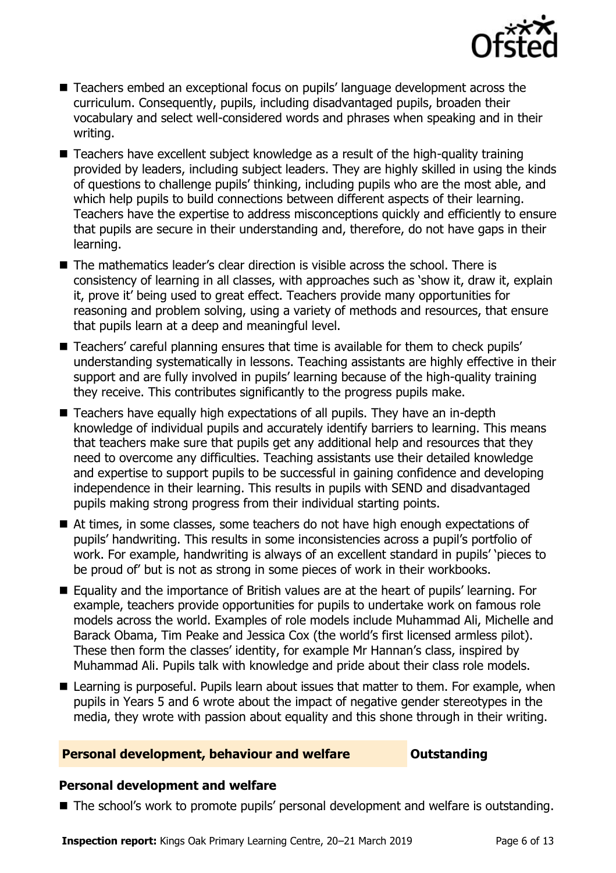

- Teachers embed an exceptional focus on pupils' language development across the curriculum. Consequently, pupils, including disadvantaged pupils, broaden their vocabulary and select well-considered words and phrases when speaking and in their writing.
- Teachers have excellent subject knowledge as a result of the high-quality training provided by leaders, including subject leaders. They are highly skilled in using the kinds of questions to challenge pupils' thinking, including pupils who are the most able, and which help pupils to build connections between different aspects of their learning. Teachers have the expertise to address misconceptions quickly and efficiently to ensure that pupils are secure in their understanding and, therefore, do not have gaps in their learning.
- $\blacksquare$  The mathematics leader's clear direction is visible across the school. There is consistency of learning in all classes, with approaches such as 'show it, draw it, explain it, prove it' being used to great effect. Teachers provide many opportunities for reasoning and problem solving, using a variety of methods and resources, that ensure that pupils learn at a deep and meaningful level.
- Teachers' careful planning ensures that time is available for them to check pupils' understanding systematically in lessons. Teaching assistants are highly effective in their support and are fully involved in pupils' learning because of the high-quality training they receive. This contributes significantly to the progress pupils make.
- Teachers have equally high expectations of all pupils. They have an in-depth knowledge of individual pupils and accurately identify barriers to learning. This means that teachers make sure that pupils get any additional help and resources that they need to overcome any difficulties. Teaching assistants use their detailed knowledge and expertise to support pupils to be successful in gaining confidence and developing independence in their learning. This results in pupils with SEND and disadvantaged pupils making strong progress from their individual starting points.
- At times, in some classes, some teachers do not have high enough expectations of pupils' handwriting. This results in some inconsistencies across a pupil's portfolio of work. For example, handwriting is always of an excellent standard in pupils' 'pieces to be proud of' but is not as strong in some pieces of work in their workbooks.
- Equality and the importance of British values are at the heart of pupils' learning. For example, teachers provide opportunities for pupils to undertake work on famous role models across the world. Examples of role models include Muhammad Ali, Michelle and Barack Obama, Tim Peake and Jessica Cox (the world's first licensed armless pilot). These then form the classes' identity, for example Mr Hannan's class, inspired by Muhammad Ali. Pupils talk with knowledge and pride about their class role models.
- Learning is purposeful. Pupils learn about issues that matter to them. For example, when pupils in Years 5 and 6 wrote about the impact of negative gender stereotypes in the media, they wrote with passion about equality and this shone through in their writing.

#### **Personal development, behaviour and welfare <b>COUNG COULTS** Outstanding

#### **Personal development and welfare**

■ The school's work to promote pupils' personal development and welfare is outstanding.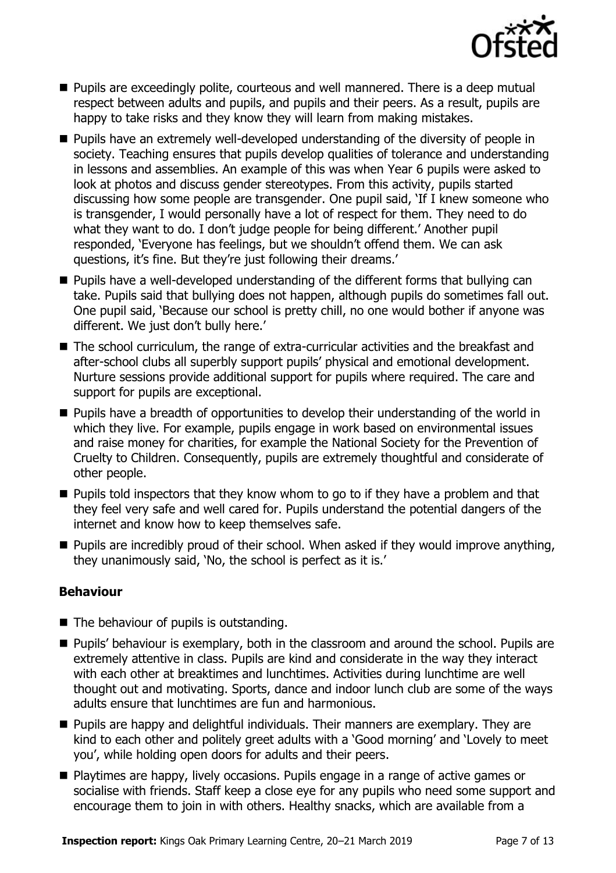

- **Pupils are exceedingly polite, courteous and well mannered. There is a deep mutual** respect between adults and pupils, and pupils and their peers. As a result, pupils are happy to take risks and they know they will learn from making mistakes.
- **Pupils have an extremely well-developed understanding of the diversity of people in** society. Teaching ensures that pupils develop qualities of tolerance and understanding in lessons and assemblies. An example of this was when Year 6 pupils were asked to look at photos and discuss gender stereotypes. From this activity, pupils started discussing how some people are transgender. One pupil said, 'If I knew someone who is transgender, I would personally have a lot of respect for them. They need to do what they want to do. I don't judge people for being different.' Another pupil responded, 'Everyone has feelings, but we shouldn't offend them. We can ask questions, it's fine. But they're just following their dreams.'
- **Pupils have a well-developed understanding of the different forms that bullying can** take. Pupils said that bullying does not happen, although pupils do sometimes fall out. One pupil said, 'Because our school is pretty chill, no one would bother if anyone was different. We just don't bully here.'
- The school curriculum, the range of extra-curricular activities and the breakfast and after-school clubs all superbly support pupils' physical and emotional development. Nurture sessions provide additional support for pupils where required. The care and support for pupils are exceptional.
- **Pupils have a breadth of opportunities to develop their understanding of the world in** which they live. For example, pupils engage in work based on environmental issues and raise money for charities, for example the National Society for the Prevention of Cruelty to Children. Consequently, pupils are extremely thoughtful and considerate of other people.
- **Pupils told inspectors that they know whom to go to if they have a problem and that** they feel very safe and well cared for. Pupils understand the potential dangers of the internet and know how to keep themselves safe.
- $\blacksquare$  Pupils are incredibly proud of their school. When asked if they would improve anything, they unanimously said, 'No, the school is perfect as it is.'

### **Behaviour**

- $\blacksquare$  The behaviour of pupils is outstanding.
- **Pupils' behaviour is exemplary, both in the classroom and around the school. Pupils are** extremely attentive in class. Pupils are kind and considerate in the way they interact with each other at breaktimes and lunchtimes. Activities during lunchtime are well thought out and motivating. Sports, dance and indoor lunch club are some of the ways adults ensure that lunchtimes are fun and harmonious.
- **Pupils are happy and delightful individuals. Their manners are exemplary. They are** kind to each other and politely greet adults with a 'Good morning' and 'Lovely to meet you', while holding open doors for adults and their peers.
- Playtimes are happy, lively occasions. Pupils engage in a range of active games or socialise with friends. Staff keep a close eye for any pupils who need some support and encourage them to join in with others. Healthy snacks, which are available from a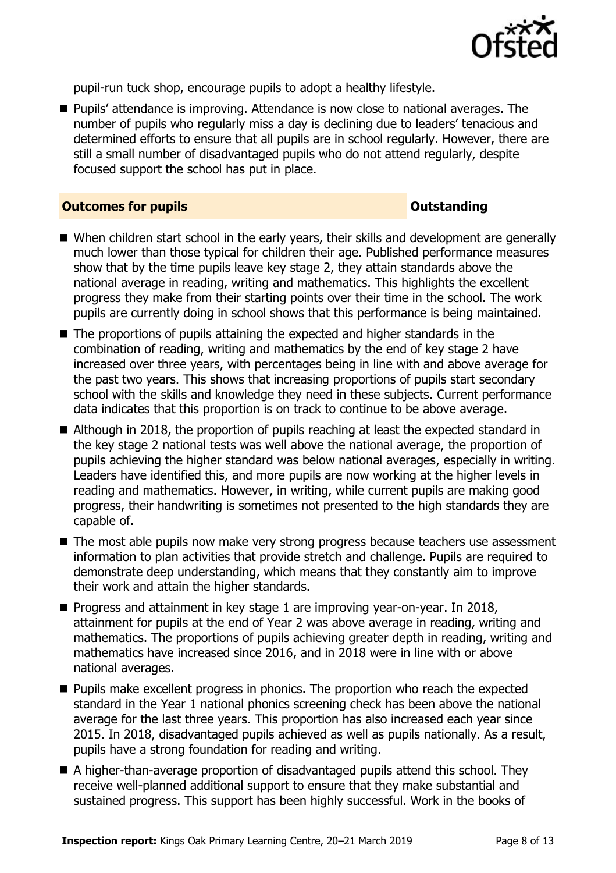

pupil-run tuck shop, encourage pupils to adopt a healthy lifestyle.

■ Pupils' attendance is improving. Attendance is now close to national averages. The number of pupils who regularly miss a day is declining due to leaders' tenacious and determined efforts to ensure that all pupils are in school regularly. However, there are still a small number of disadvantaged pupils who do not attend regularly, despite focused support the school has put in place.

#### **Outcomes for pupils Outstanding**

- When children start school in the early years, their skills and development are generally much lower than those typical for children their age. Published performance measures show that by the time pupils leave key stage 2, they attain standards above the national average in reading, writing and mathematics. This highlights the excellent progress they make from their starting points over their time in the school. The work pupils are currently doing in school shows that this performance is being maintained.
- The proportions of pupils attaining the expected and higher standards in the combination of reading, writing and mathematics by the end of key stage 2 have increased over three years, with percentages being in line with and above average for the past two years. This shows that increasing proportions of pupils start secondary school with the skills and knowledge they need in these subjects. Current performance data indicates that this proportion is on track to continue to be above average.
- Although in 2018, the proportion of pupils reaching at least the expected standard in the key stage 2 national tests was well above the national average, the proportion of pupils achieving the higher standard was below national averages, especially in writing. Leaders have identified this, and more pupils are now working at the higher levels in reading and mathematics. However, in writing, while current pupils are making good progress, their handwriting is sometimes not presented to the high standards they are capable of.
- The most able pupils now make very strong progress because teachers use assessment information to plan activities that provide stretch and challenge. Pupils are required to demonstrate deep understanding, which means that they constantly aim to improve their work and attain the higher standards.
- **Progress and attainment in key stage 1 are improving year-on-year. In 2018,** attainment for pupils at the end of Year 2 was above average in reading, writing and mathematics. The proportions of pupils achieving greater depth in reading, writing and mathematics have increased since 2016, and in 2018 were in line with or above national averages.
- **Pupils make excellent progress in phonics. The proportion who reach the expected** standard in the Year 1 national phonics screening check has been above the national average for the last three years. This proportion has also increased each year since 2015. In 2018, disadvantaged pupils achieved as well as pupils nationally. As a result, pupils have a strong foundation for reading and writing.
- A higher-than-average proportion of disadvantaged pupils attend this school. They receive well-planned additional support to ensure that they make substantial and sustained progress. This support has been highly successful. Work in the books of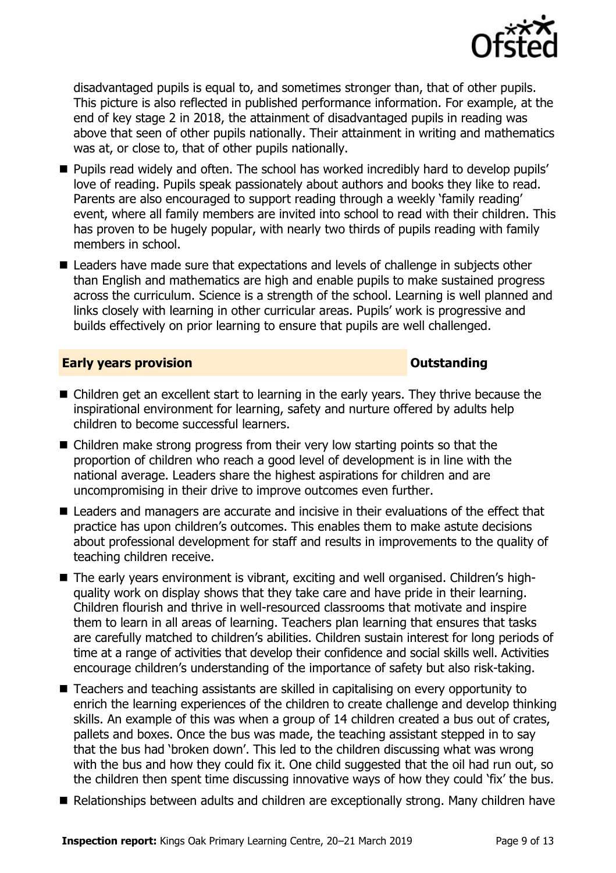

disadvantaged pupils is equal to, and sometimes stronger than, that of other pupils. This picture is also reflected in published performance information. For example, at the end of key stage 2 in 2018, the attainment of disadvantaged pupils in reading was above that seen of other pupils nationally. Their attainment in writing and mathematics was at, or close to, that of other pupils nationally.

- **Pupils read widely and often. The school has worked incredibly hard to develop pupils'** love of reading. Pupils speak passionately about authors and books they like to read. Parents are also encouraged to support reading through a weekly 'family reading' event, where all family members are invited into school to read with their children. This has proven to be hugely popular, with nearly two thirds of pupils reading with family members in school.
- Leaders have made sure that expectations and levels of challenge in subjects other than English and mathematics are high and enable pupils to make sustained progress across the curriculum. Science is a strength of the school. Learning is well planned and links closely with learning in other curricular areas. Pupils' work is progressive and builds effectively on prior learning to ensure that pupils are well challenged.

#### **Early years provision CONSISTER SERVICES CONSISTENT CONSTANT CONSTANT CONSTANT CONSTANT CONSTANT CONSTANT CONSTANT CONSTANT CONSTANT CONSTANT CONSTANT CONSTANT CONSTANT CONSTANT CONSTANT CONSTANT CONSTANT CONSTANT CON**

- Children get an excellent start to learning in the early years. They thrive because the inspirational environment for learning, safety and nurture offered by adults help children to become successful learners.
- Children make strong progress from their very low starting points so that the proportion of children who reach a good level of development is in line with the national average. Leaders share the highest aspirations for children and are uncompromising in their drive to improve outcomes even further.
- **E** Leaders and managers are accurate and incisive in their evaluations of the effect that practice has upon children's outcomes. This enables them to make astute decisions about professional development for staff and results in improvements to the quality of teaching children receive.
- The early years environment is vibrant, exciting and well organised. Children's highquality work on display shows that they take care and have pride in their learning. Children flourish and thrive in well-resourced classrooms that motivate and inspire them to learn in all areas of learning. Teachers plan learning that ensures that tasks are carefully matched to children's abilities. Children sustain interest for long periods of time at a range of activities that develop their confidence and social skills well. Activities encourage children's understanding of the importance of safety but also risk-taking.
- Teachers and teaching assistants are skilled in capitalising on every opportunity to enrich the learning experiences of the children to create challenge and develop thinking skills. An example of this was when a group of 14 children created a bus out of crates, pallets and boxes. Once the bus was made, the teaching assistant stepped in to say that the bus had 'broken down'. This led to the children discussing what was wrong with the bus and how they could fix it. One child suggested that the oil had run out, so the children then spent time discussing innovative ways of how they could 'fix' the bus.
- Relationships between adults and children are exceptionally strong. Many children have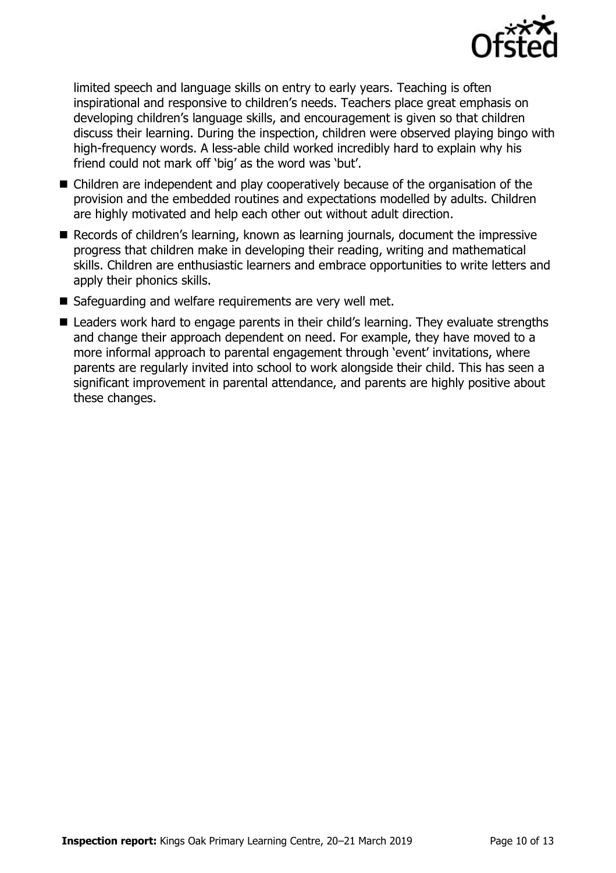

limited speech and language skills on entry to early years. Teaching is often inspirational and responsive to children's needs. Teachers place great emphasis on developing children's language skills, and encouragement is given so that children discuss their learning. During the inspection, children were observed playing bingo with high-frequency words. A less-able child worked incredibly hard to explain why his friend could not mark off 'big' as the word was 'but'.

- Children are independent and play cooperatively because of the organisation of the provision and the embedded routines and expectations modelled by adults. Children are highly motivated and help each other out without adult direction.
- Records of children's learning, known as learning journals, document the impressive progress that children make in developing their reading, writing and mathematical skills. Children are enthusiastic learners and embrace opportunities to write letters and apply their phonics skills.
- Safeguarding and welfare requirements are very well met.
- Leaders work hard to engage parents in their child's learning. They evaluate strengths and change their approach dependent on need. For example, they have moved to a more informal approach to parental engagement through 'event' invitations, where parents are regularly invited into school to work alongside their child. This has seen a significant improvement in parental attendance, and parents are highly positive about these changes.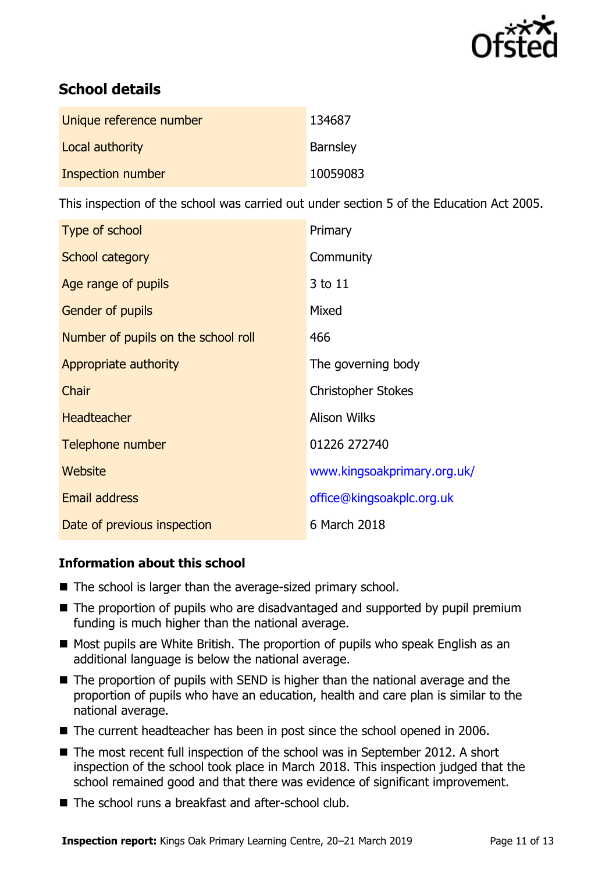

# **School details**

| Unique reference number | 134687          |
|-------------------------|-----------------|
| Local authority         | <b>Barnsley</b> |
| Inspection number       | 10059083        |

This inspection of the school was carried out under section 5 of the Education Act 2005.

| Type of school                      | Primary                     |
|-------------------------------------|-----------------------------|
| School category                     | Community                   |
| Age range of pupils                 | 3 to 11                     |
| Gender of pupils                    | Mixed                       |
| Number of pupils on the school roll | 466                         |
| Appropriate authority               | The governing body          |
| Chair                               | <b>Christopher Stokes</b>   |
| <b>Headteacher</b>                  | <b>Alison Wilks</b>         |
| Telephone number                    | 01226 272740                |
| Website                             | www.kingsoakprimary.org.uk/ |
| Email address                       | office@kingsoakplc.org.uk   |
| Date of previous inspection         | 6 March 2018                |

### **Information about this school**

- The school is larger than the average-sized primary school.
- The proportion of pupils who are disadvantaged and supported by pupil premium funding is much higher than the national average.
- Most pupils are White British. The proportion of pupils who speak English as an additional language is below the national average.
- The proportion of pupils with SEND is higher than the national average and the proportion of pupils who have an education, health and care plan is similar to the national average.
- The current headteacher has been in post since the school opened in 2006.
- The most recent full inspection of the school was in September 2012. A short inspection of the school took place in March 2018. This inspection judged that the school remained good and that there was evidence of significant improvement.
- The school runs a breakfast and after-school club.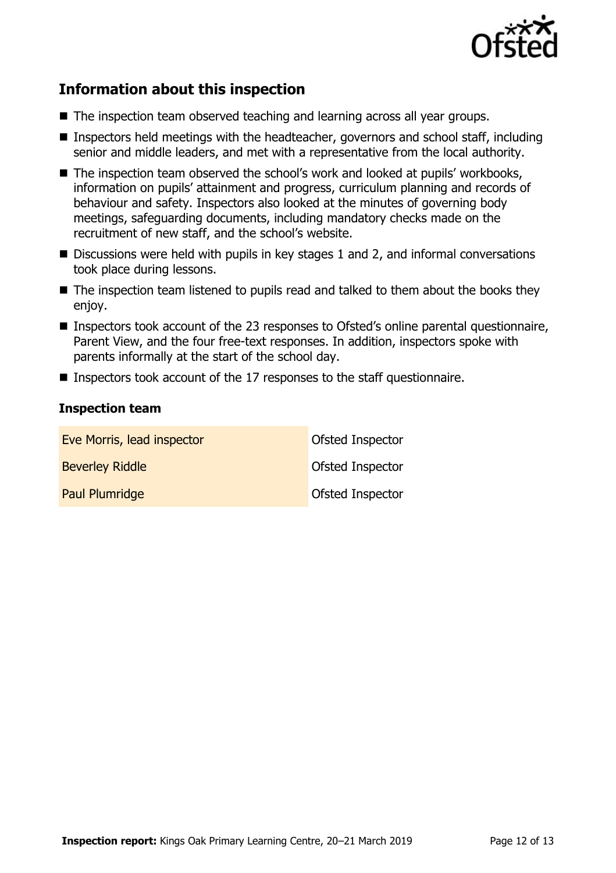

# **Information about this inspection**

- The inspection team observed teaching and learning across all year groups.
- Inspectors held meetings with the headteacher, governors and school staff, including senior and middle leaders, and met with a representative from the local authority.
- The inspection team observed the school's work and looked at pupils' workbooks, information on pupils' attainment and progress, curriculum planning and records of behaviour and safety. Inspectors also looked at the minutes of governing body meetings, safeguarding documents, including mandatory checks made on the recruitment of new staff, and the school's website.
- $\blacksquare$  Discussions were held with pupils in key stages 1 and 2, and informal conversations took place during lessons.
- The inspection team listened to pupils read and talked to them about the books they enjoy.
- Inspectors took account of the 23 responses to Ofsted's online parental questionnaire, Parent View, and the four free-text responses. In addition, inspectors spoke with parents informally at the start of the school day.
- **Inspectors took account of the 17 responses to the staff questionnaire.**

#### **Inspection team**

| Eve Morris, lead inspector | Ofsted Inspector |
|----------------------------|------------------|
| <b>Beverley Riddle</b>     | Ofsted Inspector |
| Paul Plumridge             | Ofsted Inspector |